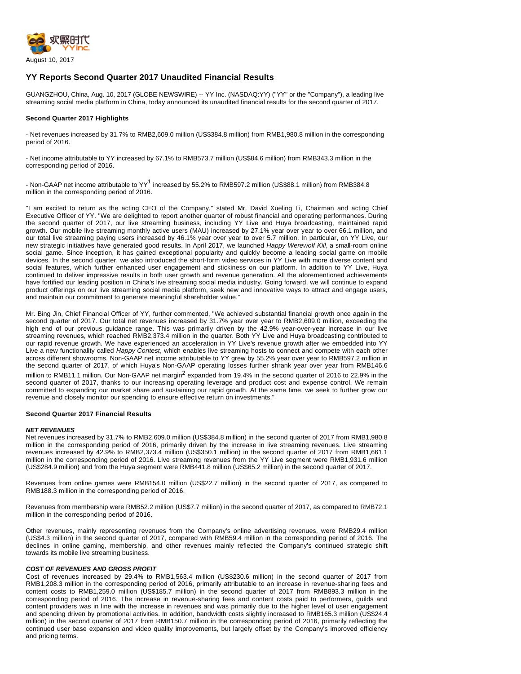

# **YY Reports Second Quarter 2017 Unaudited Financial Results**

GUANGZHOU, China, Aug. 10, 2017 (GLOBE NEWSWIRE) -- YY Inc. (NASDAQ:YY) ("YY" or the "Company"), a leading live streaming social media platform in China, today announced its unaudited financial results for the second quarter of 2017.

## **Second Quarter 2017 Highlights**

- Net revenues increased by 31.7% to RMB2,609.0 million (US\$384.8 million) from RMB1,980.8 million in the corresponding period of 2016.

- Net income attributable to YY increased by 67.1% to RMB573.7 million (US\$84.6 million) from RMB343.3 million in the corresponding period of 2016.

- Non-GAAP net income attributable to YY<sup>1</sup> increased by 55.2% to RMB597.2 million (US\$88.1 million) from RMB384.8 million in the corresponding period of 2016.

"I am excited to return as the acting CEO of the Company," stated Mr. David Xueling Li, Chairman and acting Chief Executive Officer of YY. "We are delighted to report another quarter of robust financial and operating performances. During the second quarter of 2017, our live streaming business, including YY Live and Huya broadcasting, maintained rapid growth. Our mobile live streaming monthly active users (MAU) increased by 27.1% year over year to over 66.1 million, and our total live streaming paying users increased by 46.1% year over year to over 5.7 million. In particular, on YY Live, our new strategic initiatives have generated good results. In April 2017, we launched Happy Werewolf Kill, a small-room online social game. Since inception, it has gained exceptional popularity and quickly become a leading social game on mobile devices. In the second quarter, we also introduced the short-form video services in YY Live with more diverse content and social features, which further enhanced user engagement and stickiness on our platform. In addition to YY Live, Huya continued to deliver impressive results in both user growth and revenue generation. All the aforementioned achievements have fortified our leading position in China's live streaming social media industry. Going forward, we will continue to expand product offerings on our live streaming social media platform, seek new and innovative ways to attract and engage users, and maintain our commitment to generate meaningful shareholder value."

Mr. Bing Jin, Chief Financial Officer of YY, further commented, "We achieved substantial financial growth once again in the second quarter of 2017. Our total net revenues increased by 31.7% year over year to RMB2,609.0 million, exceeding the high end of our previous guidance range. This was primarily driven by the 42.9% year-over-year increase in our live streaming revenues, which reached RMB2,373.4 million in the quarter. Both YY Live and Huya broadcasting contributed to our rapid revenue growth. We have experienced an acceleration in YY Live's revenue growth after we embedded into YY Live a new functionality called Happy Contest, which enables live streaming hosts to connect and compete with each other across different showrooms. Non-GAAP net income attributable to YY grew by 55.2% year over year to RMB597.2 million in the second quarter of 2017, of which Huya's Non-GAAP operating losses further shrank year over year from RMB146.6 million to RMB11.1 million. Our Non-GAAP net margin<sup>2</sup> expanded from 19.4% in the second quarter of 2016 to 22.9% in the second quarter of 2017, thanks to our increasing operating leverage and product cost and expense control. We remain committed to expanding our market share and sustaining our rapid growth. At the same time, we seek to further grow our revenue and closely monitor our spending to ensure effective return on investments."

#### **Second Quarter 2017 Financial Results**

### **NET REVENUES**

Net revenues increased by 31.7% to RMB2,609.0 million (US\$384.8 million) in the second quarter of 2017 from RMB1,980.8 million in the corresponding period of 2016, primarily driven by the increase in live streaming revenues. Live streaming revenues increased by 42.9% to RMB2,373.4 million (US\$350.1 million) in the second quarter of 2017 from RMB1,661.1 million in the corresponding period of 2016. Live streaming revenues from the YY Live segment were RMB1,931.6 million (US\$284.9 million) and from the Huya segment were RMB441.8 million (US\$65.2 million) in the second quarter of 2017.

Revenues from online games were RMB154.0 million (US\$22.7 million) in the second quarter of 2017, as compared to RMB188.3 million in the corresponding period of 2016.

Revenues from membership were RMB52.2 million (US\$7.7 million) in the second quarter of 2017, as compared to RMB72.1 million in the corresponding period of 2016.

Other revenues, mainly representing revenues from the Company's online advertising revenues, were RMB29.4 million (US\$4.3 million) in the second quarter of 2017, compared with RMB59.4 million in the corresponding period of 2016. The declines in online gaming, membership, and other revenues mainly reflected the Company's continued strategic shift towards its mobile live streaming business.

## **COST OF REVENUES AND GROSS PROFIT**

Cost of revenues increased by 29.4% to RMB1,563.4 million (US\$230.6 million) in the second quarter of 2017 from RMB1,208.3 million in the corresponding period of 2016, primarily attributable to an increase in revenue-sharing fees and content costs to RMB1,259.0 million (US\$185.7 million) in the second quarter of 2017 from RMB893.3 million in the corresponding period of 2016. The increase in revenue-sharing fees and content costs paid to performers, guilds and content providers was in line with the increase in revenues and was primarily due to the higher level of user engagement and spending driven by promotional activities. In addition, bandwidth costs slightly increased to RMB165.3 million (US\$24.4 million) in the second quarter of 2017 from RMB150.7 million in the corresponding period of 2016, primarily reflecting the continued user base expansion and video quality improvements, but largely offset by the Company's improved efficiency and pricing terms.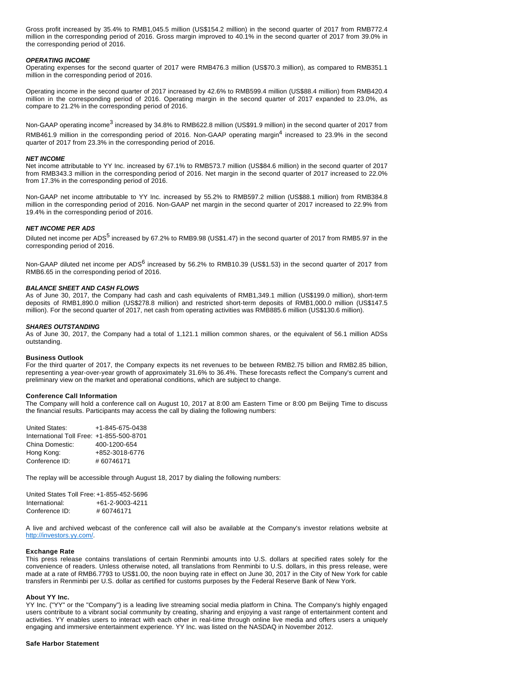Gross profit increased by 35.4% to RMB1,045.5 million (US\$154.2 million) in the second quarter of 2017 from RMB772.4 million in the corresponding period of 2016. Gross margin improved to 40.1% in the second quarter of 2017 from 39.0% in the corresponding period of 2016.

### **OPERATING INCOME**

Operating expenses for the second quarter of 2017 were RMB476.3 million (US\$70.3 million), as compared to RMB351.1 million in the corresponding period of 2016.

Operating income in the second quarter of 2017 increased by 42.6% to RMB599.4 million (US\$88.4 million) from RMB420.4 million in the corresponding period of 2016. Operating margin in the second quarter of 2017 expanded to 23.0%, as compare to 21.2% in the corresponding period of 2016.

Non-GAAP operating income<sup>3</sup> increased by 34.8% to RMB622.8 million (US\$91.9 million) in the second quarter of 2017 from RMB461.9 million in the corresponding period of 2016. Non-GAAP operating margin<sup>4</sup> increased to 23.9% in the second quarter of 2017 from 23.3% in the corresponding period of 2016.

#### **NET INCOME**

Net income attributable to YY Inc. increased by 67.1% to RMB573.7 million (US\$84.6 million) in the second quarter of 2017 from RMB343.3 million in the corresponding period of 2016. Net margin in the second quarter of 2017 increased to 22.0% from 17.3% in the corresponding period of 2016.

Non-GAAP net income attributable to YY Inc. increased by 55.2% to RMB597.2 million (US\$88.1 million) from RMB384.8 million in the corresponding period of 2016. Non-GAAP net margin in the second quarter of 2017 increased to 22.9% from 19.4% in the corresponding period of 2016.

## **NET INCOME PER ADS**

Diluted net income per ADS<sup>5</sup> increased by 67.2% to RMB9.98 (US\$1.47) in the second quarter of 2017 from RMB5.97 in the corresponding period of 2016.

Non-GAAP diluted net income per ADS<sup>6</sup> increased by 56.2% to RMB10.39 (US\$1.53) in the second quarter of 2017 from RMB6.65 in the corresponding period of 2016.

### **BALANCE SHEET AND CASH FLOWS**

As of June 30, 2017, the Company had cash and cash equivalents of RMB1,349.1 million (US\$199.0 million), short-term deposits of RMB1,890.0 million (US\$278.8 million) and restricted short-term deposits of RMB1,000.0 million (US\$147.5 million). For the second quarter of 2017, net cash from operating activities was RMB885.6 million (US\$130.6 million).

#### **SHARES OUTSTANDING**

As of June 30, 2017, the Company had a total of 1,121.1 million common shares, or the equivalent of 56.1 million ADSs outstanding.

#### **Business Outlook**

For the third quarter of 2017, the Company expects its net revenues to be between RMB2.75 billion and RMB2.85 billion, representing a year-over-year growth of approximately 31.6% to 36.4%. These forecasts reflect the Company's current and preliminary view on the market and operational conditions, which are subject to change.

### **Conference Call Information**

The Company will hold a conference call on August 10, 2017 at 8:00 am Eastern Time or 8:00 pm Beijing Time to discuss the financial results. Participants may access the call by dialing the following numbers:

| United States:                           | +1-845-675-0438 |
|------------------------------------------|-----------------|
| International Toll Free: +1-855-500-8701 |                 |
| China Domestic:                          | 400-1200-654    |
| Hong Kong:                               | +852-3018-6776  |
| Conference ID:                           | #60746171       |

The replay will be accessible through August 18, 2017 by dialing the following numbers:

United States Toll Free: +1-855-452-5696 International: +61-2-9003-4211 Conference ID: # 60746171

A live and archived webcast of the conference call will also be available at the Company's investor relations website at [http://investors.yy.com/](https://www.globenewswire.com/Tracker?data=nnZGz0bc4WLStBCeyf3ufl3yxTI2LdP4ay76OQk3OY1MFodxnNahi2KtYmnkymUCEPCyFK4-lI6oTk1D8_vV3J_wzG81Fsh8AQoIfFprnPo=).

### **Exchange Rate**

This press release contains translations of certain Renminbi amounts into U.S. dollars at specified rates solely for the convenience of readers. Unless otherwise noted, all translations from Renminbi to U.S. dollars, in this press release, were made at a rate of RMB6.7793 to US\$1.00, the noon buying rate in effect on June 30, 2017 in the City of New York for cable transfers in Renminbi per U.S. dollar as certified for customs purposes by the Federal Reserve Bank of New York.

#### **About YY Inc.**

YY Inc. ("YY" or the "Company") is a leading live streaming social media platform in China. The Company's highly engaged users contribute to a vibrant social community by creating, sharing and enjoying a vast range of entertainment content and activities. YY enables users to interact with each other in real-time through online live media and offers users a uniquely engaging and immersive entertainment experience. YY Inc. was listed on the NASDAQ in November 2012.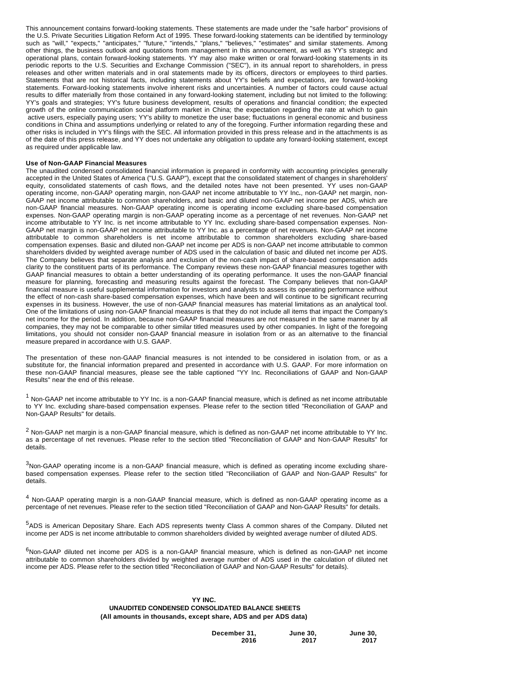This announcement contains forward-looking statements. These statements are made under the "safe harbor" provisions of the U.S. Private Securities Litigation Reform Act of 1995. These forward-looking statements can be identified by terminology such as "will," "expects," "anticipates," "future," "intends," "plans," "believes," "estimates" and similar statements. Among other things, the business outlook and quotations from management in this announcement, as well as YY's strategic and operational plans, contain forward-looking statements. YY may also make written or oral forward-looking statements in its periodic reports to the U.S. Securities and Exchange Commission ("SEC"), in its annual report to shareholders, in press releases and other written materials and in oral statements made by its officers, directors or employees to third parties. Statements that are not historical facts, including statements about YY's beliefs and expectations, are forward-looking statements. Forward-looking statements involve inherent risks and uncertainties. A number of factors could cause actual results to differ materially from those contained in any forward-looking statement, including but not limited to the following: YY's goals and strategies; YY's future business development, results of operations and financial condition; the expected growth of the online communication social platform market in China; the expectation regarding the rate at which to gain active users, especially paying users; YY's ability to monetize the user base; fluctuations in general economic and business conditions in China and assumptions underlying or related to any of the foregoing. Further information regarding these and other risks is included in YY's filings with the SEC. All information provided in this press release and in the attachments is as of the date of this press release, and YY does not undertake any obligation to update any forward-looking statement, except as required under applicable law.

## **Use of Non-GAAP Financial Measures**

The unaudited condensed consolidated financial information is prepared in conformity with accounting principles generally accepted in the United States of America ("U.S. GAAP"), except that the consolidated statement of changes in shareholders' equity, consolidated statements of cash flows, and the detailed notes have not been presented. YY uses non-GAAP operating income, non-GAAP operating margin, non-GAAP net income attributable to YY Inc**.**, non-GAAP net margin, non-GAAP net income attributable to common shareholders, and basic and diluted non-GAAP net income per ADS, which are non-GAAP financial measures. Non-GAAP operating income is operating income excluding share-based compensation expenses. Non-GAAP operating margin is non-GAAP operating income as a percentage of net revenues. Non-GAAP net income attributable to YY Inc. is net income attributable to YY Inc. excluding share-based compensation expenses. Non-GAAP net margin is non-GAAP net income attributable to YY Inc. as a percentage of net revenues. Non-GAAP net income attributable to common shareholders is net income attributable to common shareholders excluding share-based compensation expenses. Basic and diluted non-GAAP net income per ADS is non-GAAP net income attributable to common shareholders divided by weighted average number of ADS used in the calculation of basic and diluted net income per ADS. The Company believes that separate analysis and exclusion of the non-cash impact of share-based compensation adds clarity to the constituent parts of its performance. The Company reviews these non-GAAP financial measures together with GAAP financial measures to obtain a better understanding of its operating performance. It uses the non-GAAP financial measure for planning, forecasting and measuring results against the forecast. The Company believes that non-GAAP financial measure is useful supplemental information for investors and analysts to assess its operating performance without the effect of non-cash share-based compensation expenses, which have been and will continue to be significant recurring expenses in its business. However, the use of non-GAAP financial measures has material limitations as an analytical tool. One of the limitations of using non-GAAP financial measures is that they do not include all items that impact the Company's net income for the period. In addition, because non-GAAP financial measures are not measured in the same manner by all companies, they may not be comparable to other similar titled measures used by other companies. In light of the foregoing limitations, you should not consider non-GAAP financial measure in isolation from or as an alternative to the financial measure prepared in accordance with U.S. GAAP.

The presentation of these non-GAAP financial measures is not intended to be considered in isolation from, or as a substitute for, the financial information prepared and presented in accordance with U.S. GAAP. For more information on these non-GAAP financial measures, please see the table captioned "YY Inc. Reconciliations of GAAP and Non-GAAP Results" near the end of this release.

<sup>1</sup> Non-GAAP net income attributable to YY Inc. is a non-GAAP financial measure, which is defined as net income attributable to YY Inc. excluding share-based compensation expenses. Please refer to the section titled "Reconciliation of GAAP and Non-GAAP Results" for details.

 $^2$  Non-GAAP net margin is a non-GAAP financial measure, which is defined as non-GAAP net income attributable to YY Inc. as a percentage of net revenues. Please refer to the section titled "Reconciliation of GAAP and Non-GAAP Results" for details.

 $3$ Non-GAAP operating income is a non-GAAP financial measure, which is defined as operating income excluding sharebased compensation expenses. Please refer to the section titled "Reconciliation of GAAP and Non-GAAP Results" for details.

<sup>4</sup> Non-GAAP operating margin is a non-GAAP financial measure, which is defined as non-GAAP operating income as a percentage of net revenues. Please refer to the section titled "Reconciliation of GAAP and Non-GAAP Results" for details.

<sup>5</sup>ADS is American Depositary Share. Each ADS represents twenty Class A common shares of the Company. Diluted net income per ADS is net income attributable to common shareholders divided by weighted average number of diluted ADS.

 $6$ Non-GAAP diluted net income per ADS is a non-GAAP financial measure, which is defined as non-GAAP net income attributable to common shareholders divided by weighted average number of ADS used in the calculation of diluted net income per ADS. Please refer to the section titled "Reconciliation of GAAP and Non-GAAP Results" for details).

# **YY INC. UNAUDITED CONDENSED CONSOLIDATED BALANCE SHEETS (All amounts in thousands, except share, ADS and per ADS data)**

| December 31, | <b>June 30.</b> | <b>June 30,</b> |
|--------------|-----------------|-----------------|
| 2016         | 2017            | 2017            |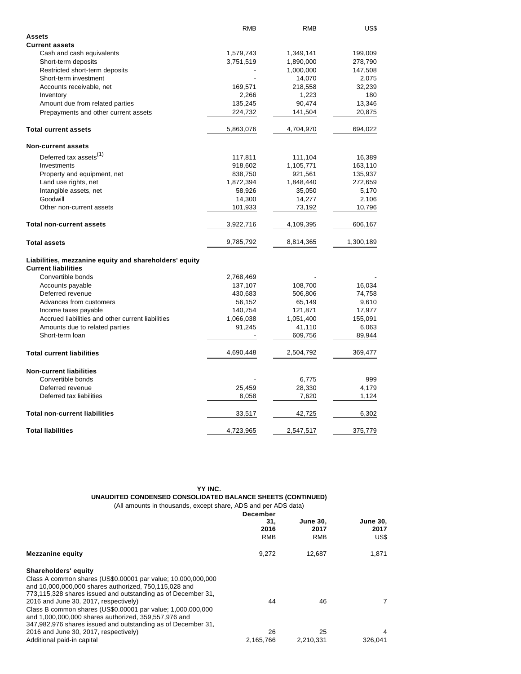|                                                        | <b>RMB</b> | RMB       | US\$      |
|--------------------------------------------------------|------------|-----------|-----------|
| <b>Assets</b>                                          |            |           |           |
| <b>Current assets</b>                                  |            |           |           |
| Cash and cash equivalents                              | 1,579,743  | 1,349,141 | 199,009   |
| Short-term deposits                                    | 3,751,519  | 1,890,000 | 278,790   |
| Restricted short-term deposits                         |            | 1,000,000 | 147,508   |
| Short-term investment                                  |            | 14,070    | 2,075     |
| Accounts receivable, net                               | 169,571    | 218,558   | 32,239    |
| Inventory                                              | 2,266      | 1,223     | 180       |
| Amount due from related parties                        | 135,245    | 90,474    | 13,346    |
| Prepayments and other current assets                   | 224,732    | 141,504   | 20,875    |
| <b>Total current assets</b>                            | 5,863,076  | 4,704,970 | 694,022   |
| <b>Non-current assets</b>                              |            |           |           |
| Deferred tax assets <sup>(1)</sup>                     | 117,811    | 111,104   | 16,389    |
| Investments                                            | 918,602    | 1,105,771 | 163,110   |
| Property and equipment, net                            | 838,750    | 921,561   | 135,937   |
| Land use rights, net                                   | 1,872,394  | 1,848,440 | 272,659   |
| Intangible assets, net                                 | 58,926     | 35,050    | 5,170     |
| Goodwill                                               | 14,300     | 14,277    | 2,106     |
| Other non-current assets                               | 101,933    | 73,192    | 10,796    |
| <b>Total non-current assets</b>                        | 3,922,716  | 4,109,395 | 606,167   |
| <b>Total assets</b>                                    | 9,785,792  | 8,814,365 | 1,300,189 |
| Liabilities, mezzanine equity and shareholders' equity |            |           |           |
| <b>Current liabilities</b>                             |            |           |           |
| Convertible bonds                                      | 2,768,469  |           |           |
| Accounts payable                                       | 137,107    | 108,700   | 16,034    |
| Deferred revenue                                       | 430,683    | 506,806   | 74,758    |
| Advances from customers                                | 56,152     | 65,149    | 9,610     |
| Income taxes payable                                   | 140,754    | 121,871   | 17,977    |
| Accrued liabilities and other current liabilities      | 1,066,038  | 1,051,400 | 155,091   |
| Amounts due to related parties                         | 91,245     | 41,110    | 6,063     |
| Short-term loan                                        |            | 609,756   | 89,944    |
| <b>Total current liabilities</b>                       | 4,690,448  | 2,504,792 | 369,477   |
| <b>Non-current liabilities</b>                         |            |           |           |
| Convertible bonds                                      |            | 6,775     | 999       |
| Deferred revenue                                       | 25,459     | 28,330    | 4,179     |
| Deferred tax liabilities                               | 8,058      | 7,620     | 1,124     |
|                                                        |            |           |           |
| <b>Total non-current liabilities</b>                   | 33,517     | 42,725    | 6,302     |
| <b>Total liabilities</b>                               | 4,723,965  | 2,547,517 | 375,779   |

## **YY INC. UNAUDITED CONDENSED CONSOLIDATED BALANCE SHEETS (CONTINUED)** (All amounts in thousands, except share, ADS and per ADS data)

|                                                                                                                       | <b>December</b><br>31.<br>2016 | <b>June 30.</b><br>2017 | <b>June 30,</b><br>2017 |
|-----------------------------------------------------------------------------------------------------------------------|--------------------------------|-------------------------|-------------------------|
|                                                                                                                       | <b>RMB</b>                     | <b>RMB</b>              | US\$                    |
| <b>Mezzanine equity</b>                                                                                               | 9,272                          | 12.687                  | 1,871                   |
| Shareholders' equity                                                                                                  |                                |                         |                         |
| Class A common shares (US\$0.00001 par value; 10,000,000,000<br>and 10,000,000,000 shares authorized, 750,115,028 and |                                |                         |                         |
| 773,115,328 shares issued and outstanding as of December 31,                                                          |                                |                         |                         |
| 2016 and June 30, 2017, respectively)<br>Class B common shares (US\$0.00001 par value; 1,000,000,000                  | 44                             | 46                      |                         |
| and 1,000,000,000 shares authorized, 359,557,976 and                                                                  |                                |                         |                         |
| 347,982,976 shares issued and outstanding as of December 31,<br>2016 and June 30, 2017, respectively)                 | 26                             | 25                      | 4                       |
| Additional paid-in capital                                                                                            | 2,165,766                      | 2,210,331               | 326.041                 |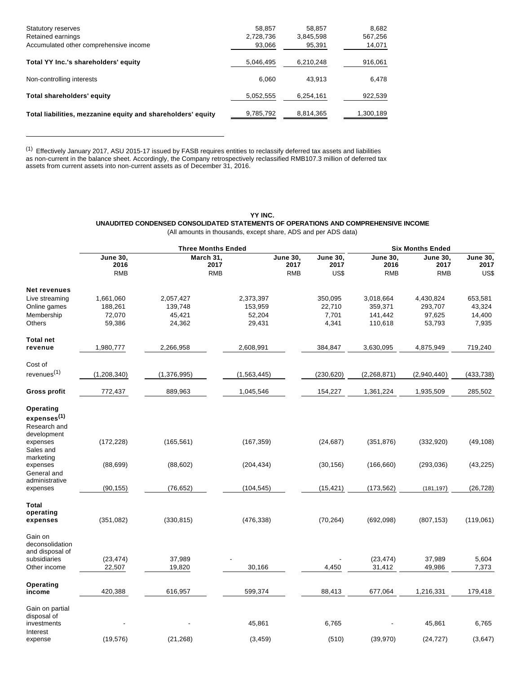| <b>Statutory reserves</b>                                    | 58,857    | 58,857    | 8,682     |
|--------------------------------------------------------------|-----------|-----------|-----------|
| Retained earnings                                            | 2,728,736 | 3,845,598 | 567,256   |
| Accumulated other comprehensive income                       | 93,066    | 95,391    | 14,071    |
| Total YY Inc.'s shareholders' equity                         | 5,046,495 | 6,210,248 | 916,061   |
| Non-controlling interests                                    | 6.060     | 43.913    | 6,478     |
| Total shareholders' equity                                   | 5,052,555 | 6,254,161 | 922,539   |
| Total liabilities, mezzanine equity and shareholders' equity | 9,785,792 | 8,814,365 | 1,300,189 |

<sup>(1)</sup> Effectively January 2017, ASU 2015-17 issued by FASB requires entities to reclassify deferred tax assets and liabilities as non-current in the balance sheet. Accordingly, the Company retrospectively reclassified RMB107.3 million of deferred tax assets from current assets into non-current assets as of December 31, 2016.

> **YY INC. UNAUDITED CONDENSED CONSOLIDATED STATEMENTS OF OPERATIONS AND COMPREHENSIVE INCOME** (All amounts in thousands, except share, ADS and per ADS data)

|                                | <b>Three Months Ended</b>             |                                 |                 |                                                |                                       | <b>Six Months Ended</b>               |                                 |  |  |
|--------------------------------|---------------------------------------|---------------------------------|-----------------|------------------------------------------------|---------------------------------------|---------------------------------------|---------------------------------|--|--|
|                                | <b>June 30,</b><br>2016<br><b>RMB</b> | March 31,<br>2017<br><b>RMB</b> | <b>June 30,</b> | June 30,<br>2017<br>2017<br><b>RMB</b><br>US\$ | <b>June 30.</b><br>2016<br><b>RMB</b> | <b>June 30,</b><br>2017<br><b>RMB</b> | <b>June 30,</b><br>2017<br>US\$ |  |  |
|                                |                                       |                                 |                 |                                                |                                       |                                       |                                 |  |  |
| <b>Net revenues</b>            |                                       |                                 |                 |                                                |                                       |                                       |                                 |  |  |
| Live streaming                 | 1,661,060                             | 2,057,427                       | 2,373,397       | 350,095                                        | 3,018,664                             | 4,430,824                             | 653,581                         |  |  |
| Online games                   | 188,261                               | 139,748                         | 153,959         | 22,710                                         | 359,371                               | 293,707                               | 43,324                          |  |  |
| Membership                     | 72,070                                | 45,421                          | 52,204          | 7,701                                          | 141,442                               | 97,625                                | 14,400                          |  |  |
| Others                         | 59,386                                | 24,362                          | 29,431          | 4,341                                          | 110,618                               | 53,793                                | 7,935                           |  |  |
| <b>Total net</b>               |                                       |                                 |                 |                                                |                                       |                                       |                                 |  |  |
| revenue                        | 1,980,777                             | 2,266,958                       | 2,608,991       | 384,847                                        | 3,630,095                             | 4,875,949                             | 719,240                         |  |  |
| Cost of                        |                                       |                                 |                 |                                                |                                       |                                       |                                 |  |  |
| revenues <sup>(1)</sup>        | (1,208,340)                           | (1,376,995)                     | (1,563,445)     | (230, 620)                                     | (2, 268, 871)                         | (2,940,440)                           | (433, 738)                      |  |  |
| <b>Gross profit</b>            | 772,437                               | 889,963                         | 1,045,546       | 154,227                                        | 1,361,224                             | 1,935,509                             | 285,502                         |  |  |
| Operating                      |                                       |                                 |                 |                                                |                                       |                                       |                                 |  |  |
| expenses <sup>(1)</sup>        |                                       |                                 |                 |                                                |                                       |                                       |                                 |  |  |
| Research and                   |                                       |                                 |                 |                                                |                                       |                                       |                                 |  |  |
| development                    |                                       |                                 |                 |                                                |                                       |                                       |                                 |  |  |
| expenses                       | (172, 228)                            | (165, 561)                      | (167, 359)      | (24, 687)                                      | (351, 876)                            | (332, 920)                            | (49, 108)                       |  |  |
| Sales and                      |                                       |                                 |                 |                                                |                                       |                                       |                                 |  |  |
| marketing                      |                                       |                                 |                 |                                                |                                       |                                       |                                 |  |  |
| expenses                       | (88, 699)                             | (88, 602)                       | (204, 434)      | (30, 156)                                      | (166, 660)                            | (293, 036)                            | (43, 225)                       |  |  |
| General and                    |                                       |                                 |                 |                                                |                                       |                                       |                                 |  |  |
| administrative                 |                                       | (76, 652)                       | (104, 545)      | (15, 421)                                      | (173, 562)                            |                                       | (26, 728)                       |  |  |
| expenses                       | (90, 155)                             |                                 |                 |                                                |                                       | (181, 197)                            |                                 |  |  |
| <b>Total</b>                   |                                       |                                 |                 |                                                |                                       |                                       |                                 |  |  |
| operating                      |                                       |                                 |                 |                                                |                                       |                                       |                                 |  |  |
| expenses                       | (351, 082)                            | (330, 815)                      | (476, 338)      | (70, 264)                                      | (692,098)                             | (807, 153)                            | (119,061)                       |  |  |
| Gain on                        |                                       |                                 |                 |                                                |                                       |                                       |                                 |  |  |
| deconsolidation                |                                       |                                 |                 |                                                |                                       |                                       |                                 |  |  |
| and disposal of                |                                       |                                 |                 |                                                |                                       |                                       |                                 |  |  |
| subsidiaries                   | (23, 474)                             | 37,989                          |                 |                                                | (23, 474)                             | 37,989                                | 5,604                           |  |  |
| Other income                   | 22,507                                | 19,820                          | 30,166          | 4,450                                          | 31,412                                | 49,986                                | 7,373                           |  |  |
| Operating                      |                                       |                                 |                 |                                                |                                       |                                       |                                 |  |  |
| income                         | 420,388                               | 616,957                         | 599,374         | 88,413                                         | 677,064                               | 1,216,331                             | 179,418                         |  |  |
| Gain on partial<br>disposal of |                                       |                                 |                 |                                                |                                       |                                       |                                 |  |  |
| investments                    |                                       |                                 | 45,861          | 6,765                                          |                                       | 45,861                                | 6,765                           |  |  |
| Interest<br>expense            | (19, 576)                             | (21, 268)                       | (3, 459)        | (510)                                          | (39, 970)                             | (24, 727)                             | (3,647)                         |  |  |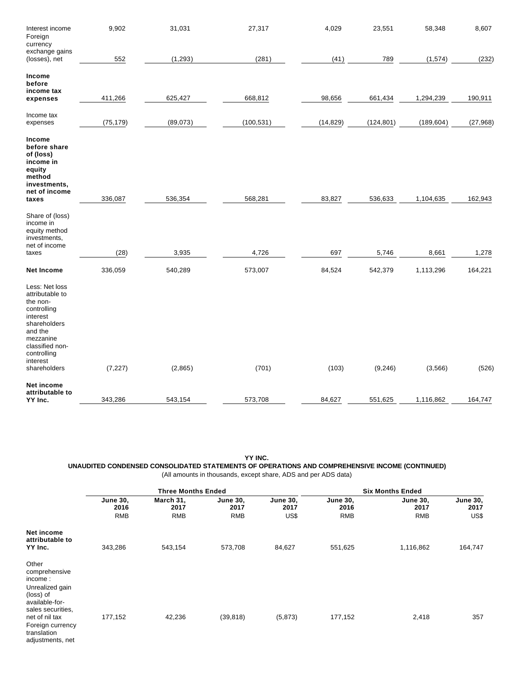| Interest income<br>Foreign<br>currency                                                                                                                                         | 9,902     | 31,031   | 27,317     | 4,029     | 23,551     | 58,348     | 8,607     |
|--------------------------------------------------------------------------------------------------------------------------------------------------------------------------------|-----------|----------|------------|-----------|------------|------------|-----------|
| exchange gains<br>(losses), net                                                                                                                                                | 552       | (1, 293) | (281)      | (41)      | 789        | (1, 574)   | (232)     |
| Income<br>before<br>income tax<br>expenses                                                                                                                                     | 411,266   | 625,427  | 668,812    | 98,656    | 661,434    | 1,294,239  | 190,911   |
| Income tax<br>expenses                                                                                                                                                         | (75, 179) | (89,073) | (100, 531) | (14, 829) | (124, 801) | (189, 604) | (27, 968) |
| Income<br>before share<br>of (loss)<br>income in<br>equity<br>method<br>investments,<br>net of income<br>taxes                                                                 | 336,087   | 536,354  | 568,281    | 83,827    | 536,633    | 1,104,635  | 162,943   |
| Share of (loss)<br>income in<br>equity method<br>investments,<br>net of income<br>taxes                                                                                        | (28)      | 3,935    | 4,726      | 697       | 5,746      | 8,661      | 1,278     |
| <b>Net Income</b>                                                                                                                                                              | 336,059   | 540,289  | 573,007    | 84,524    | 542,379    | 1,113,296  | 164,221   |
| Less: Net loss<br>attributable to<br>the non-<br>controlling<br>interest<br>shareholders<br>and the<br>mezzanine<br>classified non-<br>controlling<br>interest<br>shareholders | (7, 227)  | (2,865)  | (701)      | (103)     | (9, 246)   | (3, 566)   | (526)     |
| <b>Net income</b><br>attributable to<br>YY Inc.                                                                                                                                | 343,286   | 543,154  | 573,708    | 84,627    | 551,625    | 1,116,862  | 164,747   |

**YY INC. UNAUDITED CONDENSED CONSOLIDATED STATEMENTS OF OPERATIONS AND COMPREHENSIVE INCOME (CONTINUED)** (All amounts in thousands, except share, ADS and per ADS data)

|                                                                                                                                                                                   |                                       | <b>Three Months Ended</b>       |                                       |                                 |                                       | <b>Six Months Ended</b>               |                                 |
|-----------------------------------------------------------------------------------------------------------------------------------------------------------------------------------|---------------------------------------|---------------------------------|---------------------------------------|---------------------------------|---------------------------------------|---------------------------------------|---------------------------------|
|                                                                                                                                                                                   | <b>June 30,</b><br>2016<br><b>RMB</b> | March 31,<br>2017<br><b>RMB</b> | <b>June 30.</b><br>2017<br><b>RMB</b> | <b>June 30,</b><br>2017<br>US\$ | <b>June 30,</b><br>2016<br><b>RMB</b> | <b>June 30,</b><br>2017<br><b>RMB</b> | <b>June 30,</b><br>2017<br>US\$ |
|                                                                                                                                                                                   |                                       |                                 |                                       |                                 |                                       |                                       |                                 |
| Net income<br>attributable to<br>YY Inc.                                                                                                                                          | 343,286                               | 543,154                         | 573,708                               | 84,627                          | 551,625                               | 1,116,862                             | 164,747                         |
| Other<br>comprehensive<br>income:<br>Unrealized gain<br>(loss) of<br>available-for-<br>sales securities.<br>net of nil tax<br>Foreign currency<br>translation<br>adjustments, net | 177,152                               | 42,236                          | (39, 818)                             | (5, 873)                        | 177,152                               | 2,418                                 | 357                             |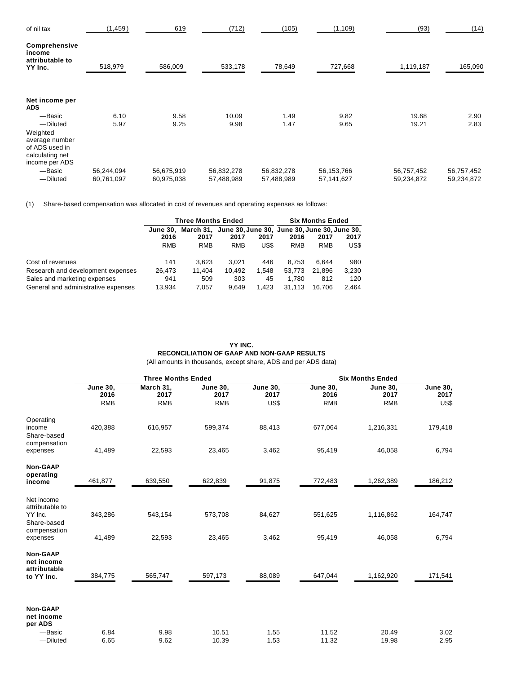| of nil tax                                                                        | (1, 459)   | 619        | (712)      | (105)      | (1, 109)   | (93)       | (14)       |
|-----------------------------------------------------------------------------------|------------|------------|------------|------------|------------|------------|------------|
| Comprehensive<br>income<br>attributable to<br>YY Inc.                             | 518,979    | 586,009    | 533,178    | 78,649     | 727,668    | 1,119,187  | 165,090    |
| Net income per<br><b>ADS</b>                                                      |            |            |            |            |            |            |            |
| -Basic                                                                            | 6.10       | 9.58       | 10.09      | 1.49       | 9.82       | 19.68      | 2.90       |
| -Diluted                                                                          | 5.97       | 9.25       | 9.98       | 1.47       | 9.65       | 19.21      | 2.83       |
| Weighted<br>average number<br>of ADS used in<br>calculating net<br>income per ADS |            |            |            |            |            |            |            |
| -Basic                                                                            | 56,244,094 | 56,675,919 | 56,832,278 | 56,832,278 | 56,153,766 | 56,757,452 | 56,757,452 |
| -Diluted                                                                          | 60,761,097 | 60,975,038 | 57,488,989 | 57,488,989 | 57,141,627 | 59,234,872 | 59,234,872 |

(1) Share-based compensation was allocated in cost of revenues and operating expenses as follows:

|                                     |                 | <b>Three Months Ended</b> | <b>Six Months Ended</b> |       |                                                        |            |       |
|-------------------------------------|-----------------|---------------------------|-------------------------|-------|--------------------------------------------------------|------------|-------|
|                                     | <b>June 30.</b> |                           |                         |       | March 31, June 30, June 30, June 30, June 30, June 30, |            |       |
|                                     | 2016            | 2017                      | 2017                    | 2017  | 2016                                                   | 2017       | 2017  |
|                                     | <b>RMB</b>      | <b>RMB</b>                | <b>RMB</b>              | US\$  | <b>RMB</b>                                             | <b>RMB</b> | US\$  |
| Cost of revenues                    | 141             | 3.623                     | 3.021                   | 446   | 8.753                                                  | 6.644      | 980   |
| Research and development expenses   | 26.473          | 11.404                    | 10.492                  | 1.548 | 53.773                                                 | 21.896     | 3.230 |
| Sales and marketing expenses        | 941             | 509                       | 303                     | 45    | 1.780                                                  | 812        | 120   |
| General and administrative expenses | 13.934          | 7.057                     | 9.649                   | 1.423 | 31.113                                                 | 16.706     | 2.464 |

# **YY INC. RECONCILIATION OF GAAP AND NON-GAAP RESULTS** (All amounts in thousands, except share, ADS and per ADS data)

|                                                                         |                         | <b>Three Months Ended</b> |                         |                         |                         | <b>Six Months Ended</b> |                         |
|-------------------------------------------------------------------------|-------------------------|---------------------------|-------------------------|-------------------------|-------------------------|-------------------------|-------------------------|
|                                                                         | <b>June 30,</b><br>2016 | March 31,<br>2017         | <b>June 30,</b><br>2017 | <b>June 30,</b><br>2017 | <b>June 30,</b><br>2016 | <b>June 30,</b><br>2017 | <b>June 30,</b><br>2017 |
|                                                                         | <b>RMB</b>              | <b>RMB</b>                | <b>RMB</b>              | US\$                    | <b>RMB</b>              | <b>RMB</b>              | US\$                    |
| Operating<br>income<br>Share-based                                      | 420,388                 | 616,957                   | 599,374                 | 88,413                  | 677,064                 | 1,216,331               | 179,418                 |
| compensation<br>expenses                                                | 41,489                  | 22,593                    | 23,465                  | 3,462                   | 95,419                  | 46,058                  | 6,794                   |
| <b>Non-GAAP</b><br>operating                                            |                         |                           |                         |                         |                         |                         |                         |
| income                                                                  | 461,877                 | 639,550                   | 622,839                 | 91,875                  | 772,483                 | 1,262,389               | 186,212                 |
| Net income<br>attributable to<br>YY Inc.<br>Share-based<br>compensation | 343,286                 | 543,154                   | 573,708                 | 84,627                  | 551,625                 | 1,116,862               | 164,747                 |
| expenses                                                                | 41,489                  | 22,593                    | 23,465                  | 3,462                   | 95,419                  | 46,058                  | 6,794                   |
| Non-GAAP<br>net income<br>attributable                                  |                         |                           |                         |                         |                         |                         |                         |
| to YY Inc.                                                              | 384,775                 | 565,747                   | 597,173                 | 88,089                  | 647,044                 | 1,162,920               | 171,541                 |
| <b>Non-GAAP</b><br>net income<br>per ADS                                |                         |                           |                         |                         |                         |                         |                         |
| -Basic<br>-Diluted                                                      | 6.84<br>6.65            | 9.98<br>9.62              | 10.51<br>10.39          | 1.55<br>1.53            | 11.52<br>11.32          | 20.49<br>19.98          | 3.02<br>2.95            |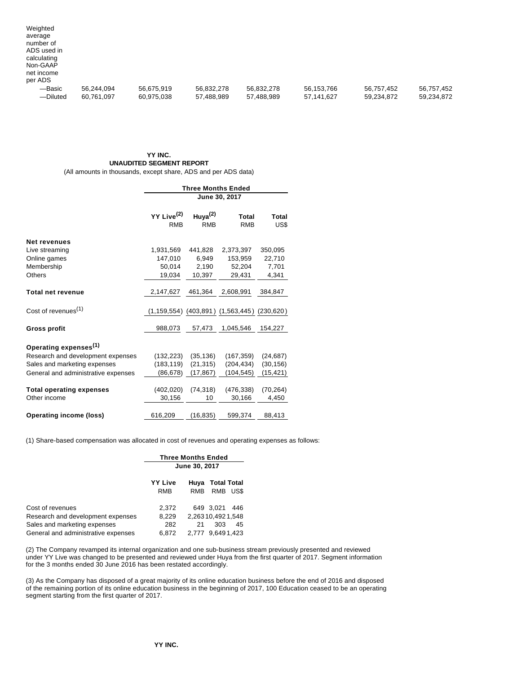| Weighted<br>average<br>number of<br>ADS used in<br>calculating<br>Non-GAAP<br>net income |                          |                          |                          |                          |                          |                          |                          |
|------------------------------------------------------------------------------------------|--------------------------|--------------------------|--------------------------|--------------------------|--------------------------|--------------------------|--------------------------|
| per ADS<br>-Basic<br>-Diluted                                                            | 56,244,094<br>60,761,097 | 56,675,919<br>60,975,038 | 56,832,278<br>57,488,989 | 56,832,278<br>57,488,989 | 56,153,766<br>57,141,627 | 56,757,452<br>59,234,872 | 56,757,452<br>59,234,872 |

# **YY INC. UNAUDITED SEGMENT REPORT**

(All amounts in thousands, except share, ADS and per ADS data)

|                                     | <b>Three Months Ended</b>            |                             |                                                           |               |  |  |
|-------------------------------------|--------------------------------------|-----------------------------|-----------------------------------------------------------|---------------|--|--|
|                                     | June 30, 2017                        |                             |                                                           |               |  |  |
|                                     | YY Live <sup>(2)</sup><br><b>RMB</b> | Huya $^{(2)}$<br><b>RMB</b> | <b>Total</b><br><b>RMB</b>                                | Total<br>US\$ |  |  |
| <b>Net revenues</b>                 |                                      |                             |                                                           |               |  |  |
| Live streaming                      | 1,931,569                            | 441,828                     | 2,373,397                                                 | 350,095       |  |  |
| Online games                        | 147,010                              | 6,949                       | 153,959                                                   | 22,710        |  |  |
| Membership                          | 50,014                               | 2,190                       | 52,204                                                    | 7,701         |  |  |
| Others                              | 19,034                               | 10,397                      | 29,431                                                    | 4,341         |  |  |
| <b>Total net revenue</b>            | 2,147,627                            | 461,364                     | 2,608,991                                                 | 384,847       |  |  |
| Cost of revenues <sup>(1)</sup>     |                                      |                             | $(1, 159, 554)$ $(403, 891)$ $(1, 563, 445)$ $(230, 620)$ |               |  |  |
| Gross profit                        | 988,073                              | 57,473                      | 1,045,546                                                 | 154,227       |  |  |
| Operating expenses <sup>(1)</sup>   |                                      |                             |                                                           |               |  |  |
| Research and development expenses   | (132, 223)                           | (35, 136)                   | (167, 359)                                                | (24, 687)     |  |  |
| Sales and marketing expenses        | (183, 119)                           | (21, 315)                   | (204, 434)                                                | (30, 156)     |  |  |
| General and administrative expenses | (86,678)                             | (17, 867)                   | (104,545)                                                 | (15, 421)     |  |  |
| <b>Total operating expenses</b>     | (402, 020)                           | (74, 318)                   | (476, 338)                                                | (70, 264)     |  |  |
| Other income                        | 30,156                               | 10                          | 30,166                                                    | 4,450         |  |  |
| Operating income (loss)             | 616,209                              | (16, 835)                   | 599.374                                                   | 88,413        |  |  |

(1) Share-based compensation was allocated in cost of revenues and operating expenses as follows:

|                                     | <b>Three Months Ended</b><br>June 30, 2017 |                                                         |  |  |
|-------------------------------------|--------------------------------------------|---------------------------------------------------------|--|--|
|                                     | YY Live<br><b>RMB</b>                      | <b>Total Total</b><br>Huva<br><b>RMB</b><br>RMB<br>US\$ |  |  |
| Cost of revenues                    | 2,372                                      | 649 3.021<br>446                                        |  |  |
| Research and development expenses   | 8,229                                      | 2.26310.4921.548                                        |  |  |
| Sales and marketing expenses        | 282                                        | 21<br>303<br>45                                         |  |  |
| General and administrative expenses | 6.872                                      | 9.6491.423<br>2.777                                     |  |  |

(2) The Company revamped its internal organization and one sub-business stream previously presented and reviewed under YY Live was changed to be presented and reviewed under Huya from the first quarter of 2017. Segment information for the 3 months ended 30 June 2016 has been restated accordingly.

(3) As the Company has disposed of a great majority of its online education business before the end of 2016 and disposed of the remaining portion of its online education business in the beginning of 2017, 100 Education ceased to be an operating segment starting from the first quarter of 2017.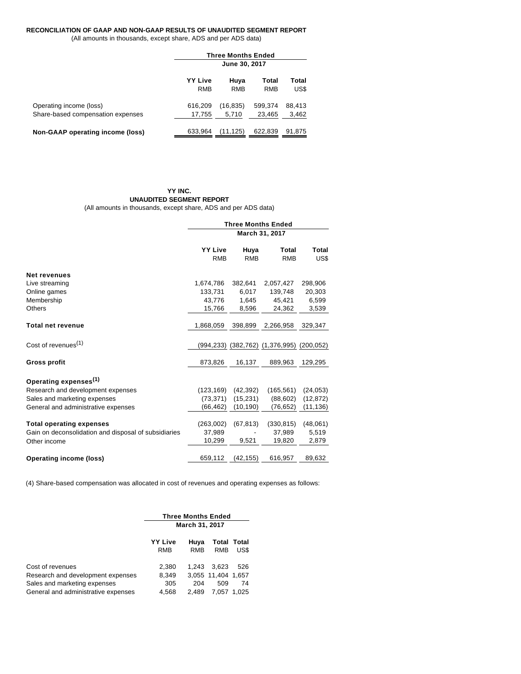# **RECONCILIATION OF GAAP AND NON-GAAP RESULTS OF UNAUDITED SEGMENT REPORT**

(All amounts in thousands, except share, ADS and per ADS data)

|                                                              |                              | <b>Three Months Ended</b> |                     |                 |  |  |
|--------------------------------------------------------------|------------------------------|---------------------------|---------------------|-----------------|--|--|
|                                                              |                              | June 30, 2017             |                     |                 |  |  |
|                                                              | <b>YY Live</b><br><b>RMB</b> | Huya<br><b>RMB</b>        | Total<br><b>RMB</b> | Total<br>US\$   |  |  |
| Operating income (loss)<br>Share-based compensation expenses | 616,209<br>17,755            | (16, 835)<br>5.710        | 599,374<br>23.465   | 88,413<br>3,462 |  |  |
| Non-GAAP operating income (loss)                             | 633,964                      | (11, 125)                 | 622.839             | 91.875          |  |  |

## **YY INC. UNAUDITED SEGMENT REPORT**

(All amounts in thousands, except share, ADS and per ADS data)

|                                                      | <b>Three Months Ended</b>    |                    |                                           |               |  |
|------------------------------------------------------|------------------------------|--------------------|-------------------------------------------|---------------|--|
|                                                      | March 31, 2017               |                    |                                           |               |  |
|                                                      | <b>YY Live</b><br><b>RMB</b> | Huya<br><b>RMB</b> | Total<br><b>RMB</b>                       | Total<br>US\$ |  |
| <b>Net revenues</b>                                  |                              |                    |                                           |               |  |
| Live streaming                                       | 1,674,786                    | 382,641            | 2,057,427                                 | 298,906       |  |
| Online games                                         | 133,731                      | 6,017              | 139,748                                   | 20,303        |  |
| Membership                                           | 43,776                       | 1,645              | 45,421                                    | 6,599         |  |
| <b>Others</b>                                        | 15,766                       | 8,596              | 24,362                                    | 3,539         |  |
| <b>Total net revenue</b>                             | 1,868,059                    | 398,899            | 2,266,958                                 | 329,347       |  |
| Cost of revenues <sup>(1)</sup>                      |                              |                    | (994,233) (382,762) (1,376,995) (200,052) |               |  |
| <b>Gross profit</b>                                  | 873,826                      | 16,137             | 889,963                                   | 129,295       |  |
| Operating expenses <sup>(1)</sup>                    |                              |                    |                                           |               |  |
| Research and development expenses                    | (123, 169)                   | (42, 392)          | (165, 561)                                | (24, 053)     |  |
| Sales and marketing expenses                         | (73, 371)                    | (15, 231)          | (88, 602)                                 | (12, 872)     |  |
| General and administrative expenses                  | (66, 462)                    | (10, 190)          | (76, 652)                                 | (11, 136)     |  |
|                                                      |                              |                    |                                           |               |  |
| <b>Total operating expenses</b>                      | (263,002)                    | (67, 813)          | (330, 815)                                | (48,061)      |  |
| Gain on deconsolidation and disposal of subsidiaries | 37,989                       |                    | 37,989                                    | 5,519         |  |
| Other income                                         | 10,299                       | 9,521              | 19,820                                    | 2,879         |  |
| <b>Operating income (loss)</b>                       | 659,112                      | (42, 155)          | 616,957                                   | 89,632        |  |

(4) Share-based compensation was allocated in cost of revenues and operating expenses as follows:

|                                                                                                                              | <b>Three Months Ended</b>      |                       |                                             |                     |  |
|------------------------------------------------------------------------------------------------------------------------------|--------------------------------|-----------------------|---------------------------------------------|---------------------|--|
|                                                                                                                              | March 31, 2017                 |                       |                                             |                     |  |
|                                                                                                                              | <b>YY Live</b><br><b>RMB</b>   | Huya<br>RMB           | <b>RMB</b>                                  | Total Total<br>US\$ |  |
| Cost of revenues<br>Research and development expenses<br>Sales and marketing expenses<br>General and administrative expenses | 2,380<br>8,349<br>305<br>4,568 | 1.243<br>204<br>2.489 | 3.623<br>3,055 11,404 1,657<br>509<br>7.057 | 526<br>74<br>1.025  |  |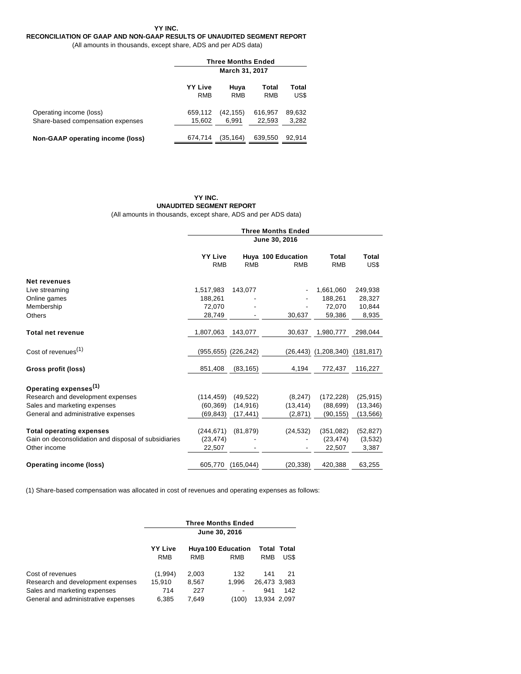**YY INC.**

# **RECONCILIATION OF GAAP AND NON-GAAP RESULTS OF UNAUDITED SEGMENT REPORT**

(All amounts in thousands, except share, ADS and per ADS data)

|                                                              | <b>Three Months Ended</b>    |                    |                     |                 |  |
|--------------------------------------------------------------|------------------------------|--------------------|---------------------|-----------------|--|
|                                                              | <b>March 31, 2017</b>        |                    |                     |                 |  |
|                                                              | <b>YY Live</b><br><b>RMB</b> | Huya<br><b>RMB</b> | Total<br><b>RMB</b> | Total<br>US\$   |  |
| Operating income (loss)<br>Share-based compensation expenses | 659,112<br>15.602            | (42, 155)<br>6.991 | 616,957<br>22,593   | 89,632<br>3,282 |  |
| Non-GAAP operating income (loss)                             | 674,714                      | (35.164)           | 639,550             | 92.914          |  |

# **YY INC. UNAUDITED SEGMENT REPORT**

(All amounts in thousands, except share, ADS and per ADS data)

| <b>Three Months Ended</b> |                          |                                                |                                              |                                      |  |
|---------------------------|--------------------------|------------------------------------------------|----------------------------------------------|--------------------------------------|--|
| June 30, 2016             |                          |                                                |                                              |                                      |  |
| <b>YY Live</b>            |                          |                                                | Total                                        | Total<br>US\$                        |  |
|                           |                          |                                                |                                              |                                      |  |
|                           |                          |                                                |                                              |                                      |  |
| 1,517,983                 | 143,077                  |                                                | 1,661,060                                    | 249,938                              |  |
| 188,261                   |                          |                                                | 188,261                                      | 28,327                               |  |
| 72.070                    |                          |                                                | 72.070                                       | 10,844                               |  |
| 28,749                    |                          | 30,637                                         | 59,386                                       | 8,935                                |  |
| 1,807,063                 | 143,077                  | 30,637                                         | 1,980,777                                    | 298,044                              |  |
|                           |                          |                                                | (1,208,340)                                  | (181, 817)                           |  |
| 851,408                   | (83, 165)                | 4,194                                          | 772,437                                      | 116,227                              |  |
|                           |                          |                                                |                                              |                                      |  |
|                           |                          |                                                |                                              | (25, 915)                            |  |
| (60, 369)                 | (14, 916)                | (13, 414)                                      | (88, 699)                                    | (13, 346)                            |  |
| (69, 843)                 | (17, 441)                | (2,871)                                        | (90, 155)                                    | (13, 566)                            |  |
| (244, 671)                | (81, 879)                | (24, 532)                                      | (351,082)                                    | (52, 827)                            |  |
| (23, 474)                 |                          |                                                | (23, 474)                                    | (3,532)                              |  |
| 22,507                    |                          |                                                | 22,507                                       | 3,387                                |  |
| 605,770                   | (165, 044)               | (20, 338)                                      | 420,388                                      | 63,255                               |  |
|                           | <b>RMB</b><br>(114, 459) | <b>RMB</b><br>(955,655) (226,242)<br>(49, 522) | Huya 100 Education<br><b>RMB</b><br>(8, 247) | <b>RMB</b><br>(26,443)<br>(172, 228) |  |

(1) Share-based compensation was allocated in cost of revenues and operating expenses as follows:

|                                     | <b>Three Months Ended</b>    |       |                                  |              |                     |  |
|-------------------------------------|------------------------------|-------|----------------------------------|--------------|---------------------|--|
|                                     | June 30, 2016                |       |                                  |              |                     |  |
|                                     | <b>YY Live</b><br><b>RMB</b> | RMB   | <b>Huya 100 Education</b><br>RMB | RMB          | Total Total<br>US\$ |  |
|                                     |                              |       |                                  |              |                     |  |
| Cost of revenues                    | (1,994)                      | 2,003 | 132                              | 141          | 21                  |  |
| Research and development expenses   | 15.910                       | 8,567 | 1.996                            | 26.473 3.983 |                     |  |
| Sales and marketing expenses        | 714                          | 227   |                                  | 941          | 142                 |  |
| General and administrative expenses | 6.385                        | 7.649 | (100)                            | 13,934 2,097 |                     |  |